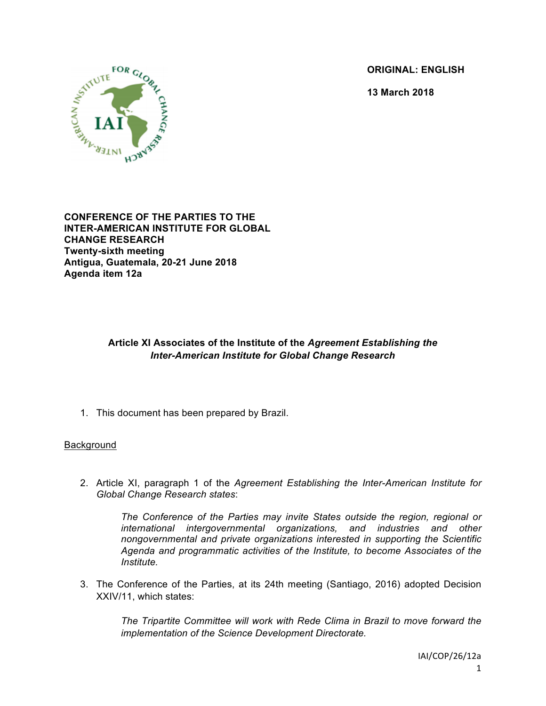**ORIGINAL: ENGLISH**

**13 March 2018**



**CONFERENCE OF THE PARTIES TO THE INTER-AMERICAN INSTITUTE FOR GLOBAL CHANGE RESEARCH Twenty-sixth meeting Antigua, Guatemala, 20-21 June 2018 Agenda item 12a**

# **Article XI Associates of the Institute of the** *Agreement Establishing the Inter-American Institute for Global Change Research*

1. This document has been prepared by Brazil.

# Background

2. Article XI, paragraph 1 of the *Agreement Establishing the Inter-American Institute for Global Change Research states*:

> *The Conference of the Parties may invite States outside the region, regional or international intergovernmental organizations, and industries and other nongovernmental and private organizations interested in supporting the Scientific Agenda and programmatic activities of the Institute, to become Associates of the Institute.*

3. The Conference of the Parties, at its 24th meeting (Santiago, 2016) adopted Decision XXIV/11, which states:

> *The Tripartite Committee will work with Rede Clima in Brazil to move forward the implementation of the Science Development Directorate.*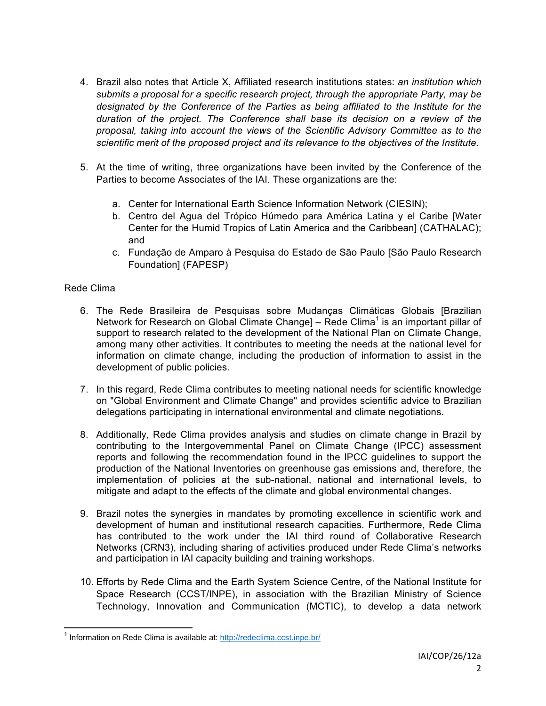- 4. Brazil also notes that Article X, Affiliated research institutions states: *an institution which submits a proposal for a specific research project, through the appropriate Party, may be designated by the Conference of the Parties as being affiliated to the Institute for the duration of the project. The Conference shall base its decision on a review of the proposal, taking into account the views of the Scientific Advisory Committee as to the scientific merit of the proposed project and its relevance to the objectives of the Institute.*
- 5. At the time of writing, three organizations have been invited by the Conference of the Parties to become Associates of the IAI. These organizations are the:
	- a. Center for International Earth Science Information Network (CIESIN);
	- b. Centro del Agua del Trópico Húmedo para América Latina y el Caribe [Water Center for the Humid Tropics of Latin America and the Caribbean] (CATHALAC); and
	- c. Fundação de Amparo à Pesquisa do Estado de São Paulo [São Paulo Research Foundation] (FAPESP)

## Rede Clima

- 6. The Rede Brasileira de Pesquisas sobre Mudanças Climáticas Globais [Brazilian Network for Research on Global Climate Change] – Rede Clima<sup>1</sup> is an important pillar of support to research related to the development of the National Plan on Climate Change, among many other activities. It contributes to meeting the needs at the national level for information on climate change, including the production of information to assist in the development of public policies.
- 7. In this regard, Rede Clima contributes to meeting national needs for scientific knowledge on "Global Environment and Climate Change" and provides scientific advice to Brazilian delegations participating in international environmental and climate negotiations.
- 8. Additionally, Rede Clima provides analysis and studies on climate change in Brazil by contributing to the Intergovernmental Panel on Climate Change (IPCC) assessment reports and following the recommendation found in the IPCC guidelines to support the production of the National Inventories on greenhouse gas emissions and, therefore, the implementation of policies at the sub-national, national and international levels, to mitigate and adapt to the effects of the climate and global environmental changes.
- 9. Brazil notes the synergies in mandates by promoting excellence in scientific work and development of human and institutional research capacities. Furthermore, Rede Clima has contributed to the work under the IAI third round of Collaborative Research Networks (CRN3), including sharing of activities produced under Rede Clima's networks and participation in IAI capacity building and training workshops.
- 10. Efforts by Rede Clima and the Earth System Science Centre, of the National Institute for Space Research (CCST/INPE), in association with the Brazilian Ministry of Science Technology, Innovation and Communication (MCTIC), to develop a data network

<sup>&</sup>lt;sup>1</sup> Information on Rede Clima is available at: http://redeclima.ccst.inpe.br/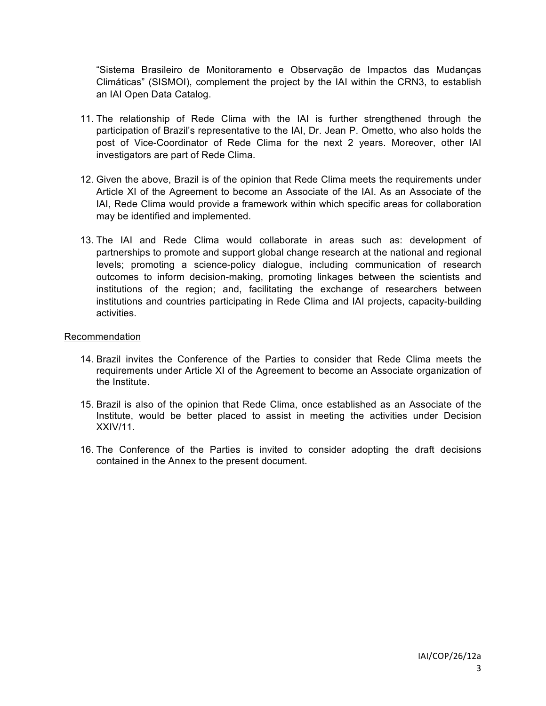"Sistema Brasileiro de Monitoramento e Observação de Impactos das Mudanças Climáticas" (SISMOI), complement the project by the IAI within the CRN3, to establish an IAI Open Data Catalog.

- 11. The relationship of Rede Clima with the IAI is further strengthened through the participation of Brazil's representative to the IAI, Dr. Jean P. Ometto, who also holds the post of Vice-Coordinator of Rede Clima for the next 2 years. Moreover, other IAI investigators are part of Rede Clima.
- 12. Given the above, Brazil is of the opinion that Rede Clima meets the requirements under Article XI of the Agreement to become an Associate of the IAI. As an Associate of the IAI, Rede Clima would provide a framework within which specific areas for collaboration may be identified and implemented.
- 13. The IAI and Rede Clima would collaborate in areas such as: development of partnerships to promote and support global change research at the national and regional levels; promoting a science-policy dialogue, including communication of research outcomes to inform decision-making, promoting linkages between the scientists and institutions of the region; and, facilitating the exchange of researchers between institutions and countries participating in Rede Clima and IAI projects, capacity-building activities.

#### Recommendation

- 14. Brazil invites the Conference of the Parties to consider that Rede Clima meets the requirements under Article XI of the Agreement to become an Associate organization of the Institute.
- 15. Brazil is also of the opinion that Rede Clima, once established as an Associate of the Institute, would be better placed to assist in meeting the activities under Decision XXIV/11.
- 16. The Conference of the Parties is invited to consider adopting the draft decisions contained in the Annex to the present document.